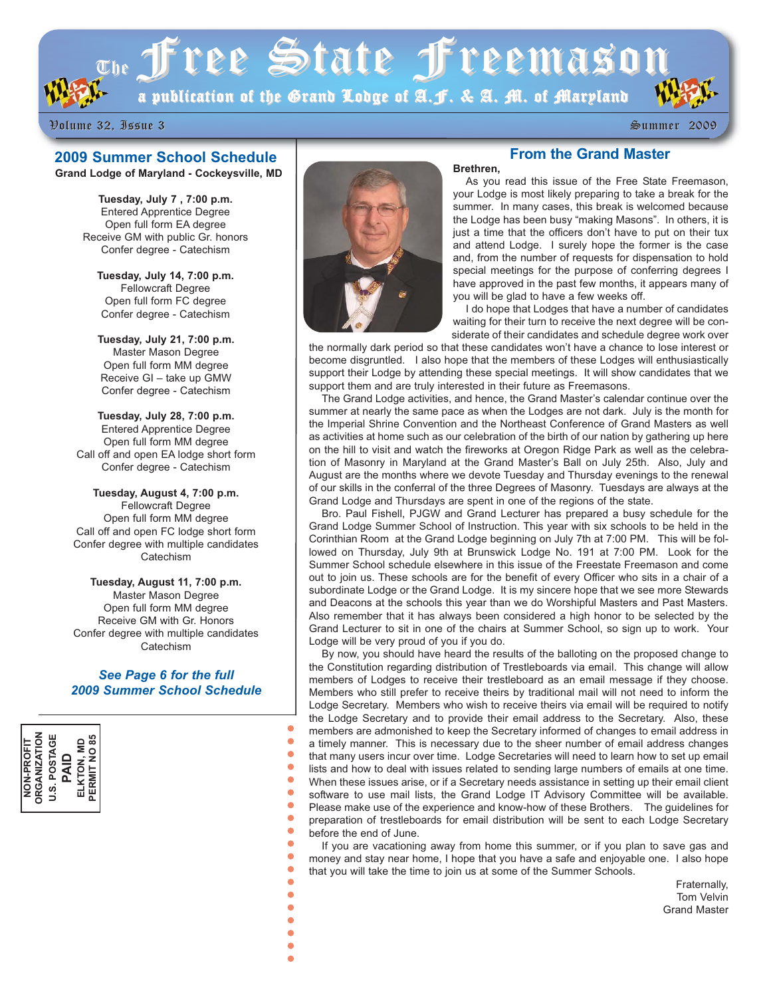$\sigma_{\rm th}$  free State freemason

a publication of the Grand Lodge of A.F. & A. M. of Maryland

Volume 32, Issue 3 Volume 32, Issue 3 Summer 2009 Summer 2009

# **2009 Summer School Schedule**

**Grand Lodge of Maryland - Cockeysville, MD** 

**Tuesday, July 7 , 7:00 p.m.** Entered Apprentice Degree Open full form EA degree Receive GM with public Gr. honors Confer degree - Catechism

**Tuesday, July 14, 7:00 p.m.** Fellowcraft Degree Open full form FC degree Confer degree - Catechism

**Tuesday, July 21, 7:00 p.m.** Master Mason Degree Open full form MM degree Receive GI – take up GMW Confer degree - Catechism

**Tuesday, July 28, 7:00 p.m.** Entered Apprentice Degree Open full form MM degree Call off and open EA lodge short form Confer degree - Catechism

**Tuesday, August 4, 7:00 p.m.** Fellowcraft Degree Open full form MM degree Call off and open FC lodge short form Confer degree with multiple candidates **Catechism** 

**Tuesday, August 11, 7:00 p.m.** Master Mason Degree Open full form MM degree Receive GM with Gr. Honors Confer degree with multiple candidates **Catechism** 

#### *See Page 6 for the full 2009 Summer School Schedule*

 $\bullet$ 

 $\bullet$ 

 $\bullet$  $\bullet$  $\bullet$  $\bullet$  $\bullet$  $\bullet$  $\bullet$  $\bullet$  $\bullet$  $\bullet$  $\bullet$ 





# **From the Grand Master**

As you read this issue of the Free State Freemason, your Lodge is most likely preparing to take a break for the summer. In many cases, this break is welcomed because the Lodge has been busy "making Masons". In others, it is just a time that the officers don't have to put on their tux and attend Lodge. I surely hope the former is the case and, from the number of requests for dispensation to hold special meetings for the purpose of conferring degrees I have approved in the past few months, it appears many of you will be glad to have a few weeks off.

I do hope that Lodges that have a number of candidates waiting for their turn to receive the next degree will be considerate of their candidates and schedule degree work over

the normally dark period so that these candidates won't have a chance to lose interest or become disgruntled. I also hope that the members of these Lodges will enthusiastically support their Lodge by attending these special meetings. It will show candidates that we support them and are truly interested in their future as Freemasons.

**Brethren,**

The Grand Lodge activities, and hence, the Grand Master's calendar continue over the summer at nearly the same pace as when the Lodges are not dark. July is the month for the Imperial Shrine Convention and the Northeast Conference of Grand Masters as well as activities at home such as our celebration of the birth of our nation by gathering up here on the hill to visit and watch the fireworks at Oregon Ridge Park as well as the celebration of Masonry in Maryland at the Grand Master's Ball on July 25th. Also, July and August are the months where we devote Tuesday and Thursday evenings to the renewal of our skills in the conferral of the three Degrees of Masonry. Tuesdays are always at the Grand Lodge and Thursdays are spent in one of the regions of the state.

Bro. Paul Fishell, PJGW and Grand Lecturer has prepared a busy schedule for the Grand Lodge Summer School of Instruction. This year with six schools to be held in the Corinthian Room at the Grand Lodge beginning on July 7th at 7:00 PM. This will be followed on Thursday, July 9th at Brunswick Lodge No. 191 at 7:00 PM. Look for the Summer School schedule elsewhere in this issue of the Freestate Freemason and come out to join us. These schools are for the benefit of every Officer who sits in a chair of a subordinate Lodge or the Grand Lodge. It is my sincere hope that we see more Stewards and Deacons at the schools this year than we do Worshipful Masters and Past Masters. Also remember that it has always been considered a high honor to be selected by the Grand Lecturer to sit in one of the chairs at Summer School, so sign up to work. Your Lodge will be very proud of you if you do.

By now, you should have heard the results of the balloting on the proposed change to the Constitution regarding distribution of Trestleboards via email. This change will allow members of Lodges to receive their trestleboard as an email message if they choose. Members who still prefer to receive theirs by traditional mail will not need to inform the Lodge Secretary. Members who wish to receive theirs via email will be required to notify the Lodge Secretary and to provide their email address to the Secretary. Also, these members are admonished to keep the Secretary informed of changes to email address in a timely manner. This is necessary due to the sheer number of email address changes that many users incur over time. Lodge Secretaries will need to learn how to set up email lists and how to deal with issues related to sending large numbers of emails at one time. When these issues arise, or if a Secretary needs assistance in setting up their email client software to use mail lists, the Grand Lodge IT Advisory Committee will be available. Please make use of the experience and know-how of these Brothers. The guidelines for preparation of trestleboards for email distribution will be sent to each Lodge Secretary before the end of June.

If you are vacationing away from home this summer, or if you plan to save gas and money and stay near home, I hope that you have a safe and enjoyable one. I also hope that you will take the time to join us at some of the Summer Schools.

> Fraternally, Tom Velvin Grand Master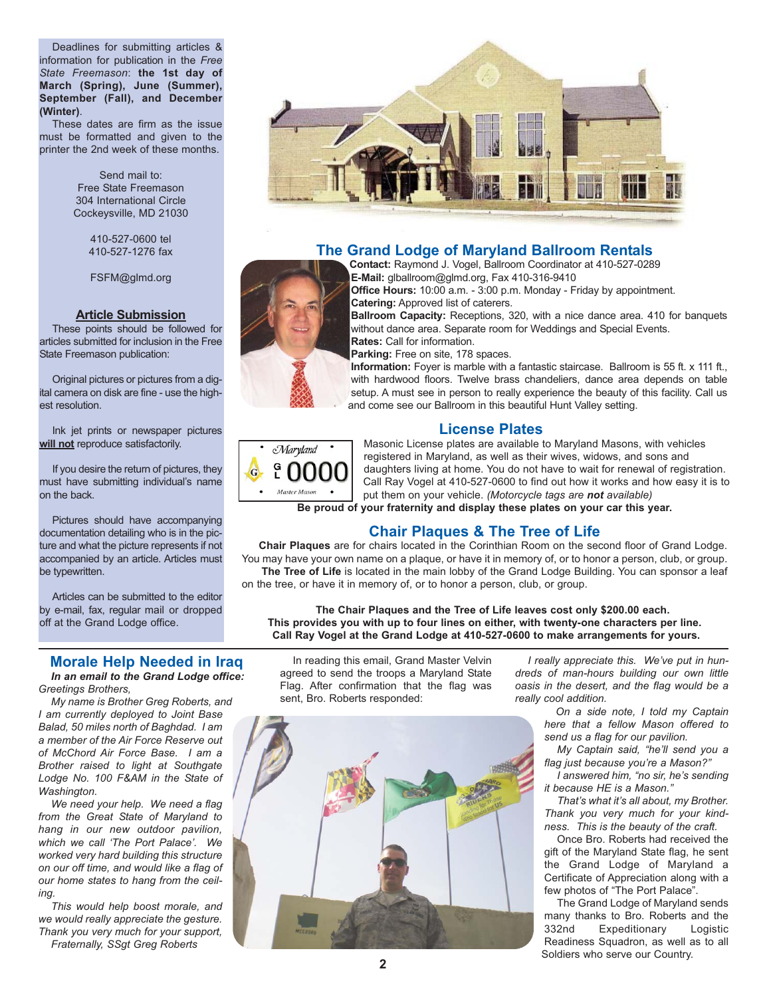Deadlines for submitting articles & information for publication in the *Free State Freemason*: **the 1st day of March (Spring), June (Summer), September (Fall), and December (Winter)**.

These dates are firm as the issue must be formatted and given to the printer the 2nd week of these months.

> Send mail to: Free State Freemason 304 International Circle Cockeysville, MD 21030

> > 410-527-0600 tel 410-527-1276 fax

FSFM@glmd.org

#### **Article Submission**

These points should be followed for articles submitted for inclusion in the Free State Freemason publication:

Original pictures or pictures from a digital camera on disk are fine - use the highest resolution.

Ink jet prints or newspaper pictures **will not** reproduce satisfactorily.

If you desire the return of pictures, they must have submitting individual's name on the back.

Pictures should have accompanying documentation detailing who is in the picture and what the picture represents if not accompanied by an article. Articles must be typewritten.

Articles can be submitted to the editor by e-mail, fax, regular mail or dropped off at the Grand Lodge office.

#### **Morale Help Needed in Iraq** *In an email to the Grand Lodge office: Greetings Brothers,*

*My name is Brother Greg Roberts, and I am currently deployed to Joint Base Balad, 50 miles north of Baghdad. I am a member of the Air Force Reserve out of McChord Air Force Base. I am a Brother raised to light at Southgate Lodge No. 100 F&AM in the State of Washington.*

*We need your help. We need a flag from the Great State of Maryland to hang in our new outdoor pavilion, which we call 'The Port Palace'. We worked very hard building this structure on our off time, and would like a flag of our home states to hang from the ceiling.*

*This would help boost morale, and we would really appreciate the gesture. Thank you very much for your support,*

*Fraternally, SSgt Greg Roberts*



# **The Grand Lodge of Maryland Ballroom Rentals**

**Contact:** Raymond J. Vogel, Ballroom Coordinator at 410-527-0289 **E-Mail:** glballroom@glmd.org, Fax 410-316-9410 **Office Hours:** 10:00 a.m. - 3:00 p.m. Monday - Friday by appointment.

**Catering:** Approved list of caterers. **Ballroom Capacity:** Receptions, 320, with a nice dance area. 410 for banquets without dance area. Separate room for Weddings and Special Events. **Rates:** Call for information.

**Parking:** Free on site, 178 spaces.

**Information:** Foyer is marble with a fantastic staircase. Ballroom is 55 ft. x 111 ft., with hardwood floors. Twelve brass chandeliers, dance area depends on table setup. A must see in person to really experience the beauty of this facility. Call us and come see our Ballroom in this beautiful Hunt Valley setting.

#### **License Plates**



Masonic License plates are available to Maryland Masons, with vehicles registered in Maryland, as well as their wives, widows, and sons and daughters living at home. You do not have to wait for renewal of registration. Call Ray Vogel at 410-527-0600 to find out how it works and how easy it is to put them on your vehicle. *(Motorcycle tags are not available)*

**Be proud of your fraternity and display these plates on your car this year.**

# **Chair Plaques & The Tree of Life**

**Chair Plaques** are for chairs located in the Corinthian Room on the second floor of Grand Lodge. You may have your own name on a plaque, or have it in memory of, or to honor a person, club, or group. The Tree of Life is located in the main lobby of the Grand Lodge Building. You can sponsor a leaf

on the tree, or have it in memory of, or to honor a person, club, or group.

**The Chair Plaques and the Tree of Life leaves cost only \$200.00 each. This provides you with up to four lines on either, with twenty-one characters per line. Call Ray Vogel at the Grand Lodge at 410-527-0600 to make arrangements for yours.**

In reading this email, Grand Master Velvin agreed to send the troops a Maryland State Flag. After confirmation that the flag was sent, Bro. Roberts responded:



*I really appreciate this. We've put in hundreds of man-hours building our own little oasis in the desert, and the flag would be a really cool addition.* 

> *On a side note, I told my Captain here that a fellow Mason offered to send us a flag for our pavilion.*

> *My Captain said, "he'll send you a flag just because you're a Mason?"*

> *I answered him, "no sir, he's sending it because HE is a Mason."*

> *That's what it's all about, my Brother. Thank you very much for your kindness. This is the beauty of the craft.*

> Once Bro. Roberts had received the gift of the Maryland State flag, he sent the Grand Lodge of Maryland a Certificate of Appreciation along with a few photos of "The Port Palace".

The Grand Lodge of Maryland sends many thanks to Bro. Roberts and the<br>332nd Fxpeditionary Logistic Expeditionary Logistic Readiness Squadron, as well as to all Soldiers who serve our Country.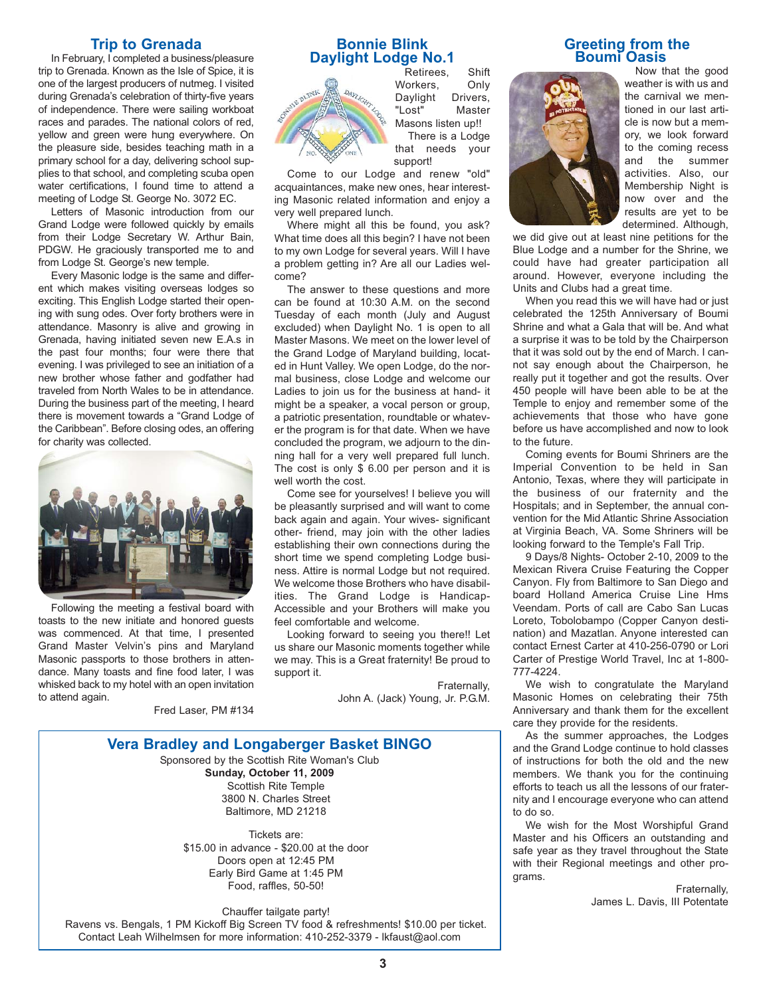### **Trip to Grenada**

In February, I completed a business/pleasure trip to Grenada. Known as the Isle of Spice, it is one of the largest producers of nutmeg. I visited during Grenada's celebration of thirty-five years of independence. There were sailing workboat races and parades. The national colors of red, yellow and green were hung everywhere. On the pleasure side, besides teaching math in a primary school for a day, delivering school supplies to that school, and completing scuba open water certifications, I found time to attend a meeting of Lodge St. George No. 3072 EC.

Letters of Masonic introduction from our Grand Lodge were followed quickly by emails from their Lodge Secretary W. Arthur Bain, PDGW. He graciously transported me to and from Lodge St. George's new temple.

Every Masonic lodge is the same and different which makes visiting overseas lodges so exciting. This English Lodge started their opening with sung odes. Over forty brothers were in attendance. Masonry is alive and growing in Grenada, having initiated seven new E.A.s in the past four months; four were there that evening. I was privileged to see an initiation of a new brother whose father and godfather had traveled from North Wales to be in attendance. During the business part of the meeting, I heard there is movement towards a "Grand Lodge of the Caribbean". Before closing odes, an offering for charity was collected.



Following the meeting a festival board with toasts to the new initiate and honored guests was commenced. At that time, I presented Grand Master Velvin's pins and Maryland Masonic passports to those brothers in attendance. Many toasts and fine food later, I was whisked back to my hotel with an open invitation to attend again.

## **Bonnie Blink Daylight Lodge No.1**



Retirees, Shift Workers, Only<br>Daylight Drivers, Daylight "Lost" Master Masons listen up!! There is a Lodge that needs your support!

Come to our Lodge and renew "old" acquaintances, make new ones, hear interesting Masonic related information and enjoy a very well prepared lunch.

Where might all this be found, you ask? What time does all this begin? I have not been to my own Lodge for several years. Will I have a problem getting in? Are all our Ladies welcome?

The answer to these questions and more can be found at 10:30 A.M. on the second Tuesday of each month (July and August excluded) when Daylight No. 1 is open to all Master Masons. We meet on the lower level of the Grand Lodge of Maryland building, located in Hunt Valley. We open Lodge, do the normal business, close Lodge and welcome our Ladies to join us for the business at hand- it might be a speaker, a vocal person or group, a patriotic presentation, roundtable or whatever the program is for that date. When we have concluded the program, we adjourn to the dinning hall for a very well prepared full lunch. The cost is only \$ 6.00 per person and it is well worth the cost.

Come see for yourselves! I believe you will be pleasantly surprised and will want to come back again and again. Your wives- significant other- friend, may join with the other ladies establishing their own connections during the short time we spend completing Lodge business. Attire is normal Lodge but not required. We welcome those Brothers who have disabilities. The Grand Lodge is Handicap-Accessible and your Brothers will make you feel comfortable and welcome.

Looking forward to seeing you there!! Let us share our Masonic moments together while we may. This is a Great fraternity! Be proud to support it.

> Fraternally, John A. (Jack) Young, Jr. P.G.M.

#### Fred Laser, PM #134

#### **Vera Bradley and Longaberger Basket BINGO**

Sponsored by the Scottish Rite Woman's Club **Sunday, October 11, 2009** Scottish Rite Temple 3800 N. Charles Street Baltimore, MD 21218

Tickets are: \$15.00 in advance - \$20.00 at the door Doors open at 12:45 PM Early Bird Game at 1:45 PM Food, raffles, 50-50!

Chauffer tailgate party!

Ravens vs. Bengals, 1 PM Kickoff Big Screen TV food & refreshments! \$10.00 per ticket. Contact Leah Wilhelmsen for more information: 410-252-3379 - lkfaust@aol.com

#### **Greeting from the Boumi Oasis**



Now that the good weather is with us and the carnival we mentioned in our last article is now but a memory, we look forward to the coming recess and the summer activities. Also, our Membership Night is now over and the results are yet to be determined. Although,

we did give out at least nine petitions for the Blue Lodge and a number for the Shrine, we could have had greater participation all around. However, everyone including the Units and Clubs had a great time.

When you read this we will have had or just celebrated the 125th Anniversary of Boumi Shrine and what a Gala that will be. And what a surprise it was to be told by the Chairperson that it was sold out by the end of March. I cannot say enough about the Chairperson, he really put it together and got the results. Over 450 people will have been able to be at the Temple to enjoy and remember some of the achievements that those who have gone before us have accomplished and now to look to the future.

Coming events for Boumi Shriners are the Imperial Convention to be held in San Antonio, Texas, where they will participate in the business of our fraternity and the Hospitals; and in September, the annual convention for the Mid Atlantic Shrine Association at Virginia Beach, VA. Some Shriners will be looking forward to the Temple's Fall Trip.

9 Days/8 Nights- October 2-10, 2009 to the Mexican Rivera Cruise Featuring the Copper Canyon. Fly from Baltimore to San Diego and board Holland America Cruise Line Hms Veendam. Ports of call are Cabo San Lucas Loreto, Tobolobampo (Copper Canyon destination) and Mazatlan. Anyone interested can contact Ernest Carter at 410-256-0790 or Lori Carter of Prestige World Travel, Inc at 1-800- 777-4224.

We wish to congratulate the Maryland Masonic Homes on celebrating their 75th Anniversary and thank them for the excellent care they provide for the residents.

As the summer approaches, the Lodges and the Grand Lodge continue to hold classes of instructions for both the old and the new members. We thank you for the continuing efforts to teach us all the lessons of our fraternity and I encourage everyone who can attend to do so.

We wish for the Most Worshipful Grand Master and his Officers an outstanding and safe year as they travel throughout the State with their Regional meetings and other programs.

> Fraternally, James L. Davis, III Potentate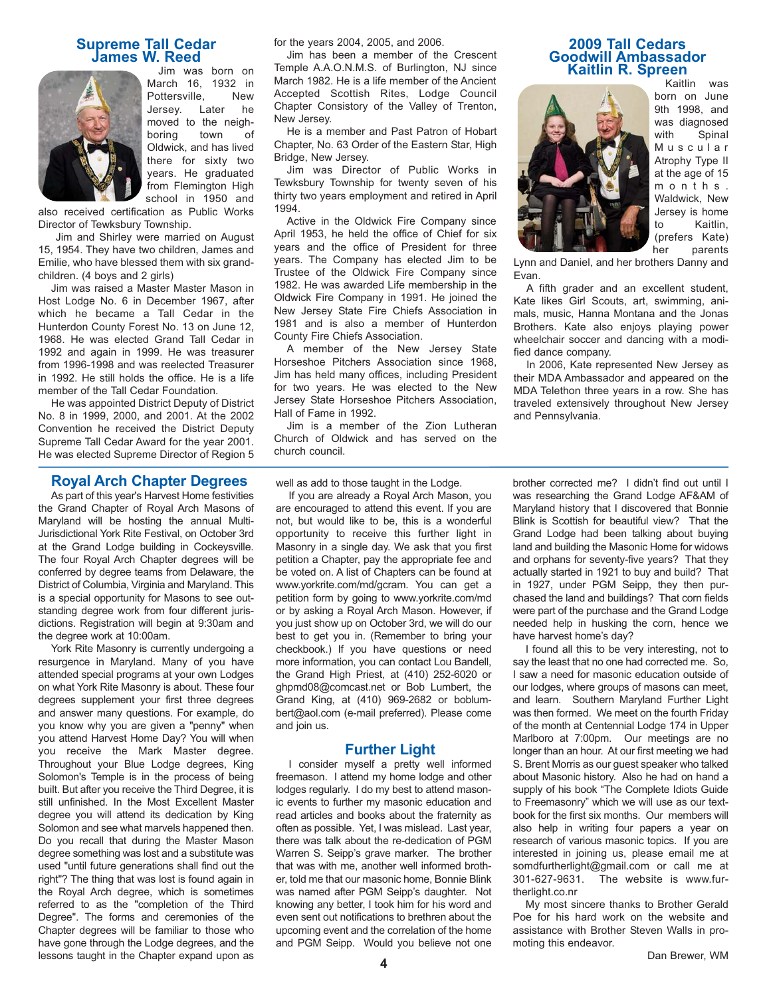# **Supreme Tall Cedar James W. Reed**



Jim was born on March 16, 1932 in Pottersville, New Jersey. Later he moved to the neighboring town of Oldwick, and has lived there for sixty two years. He graduated from Flemington High school in 1950 and

also received certification as Public Works Director of Tewksbury Township.

Jim and Shirley were married on August 15, 1954. They have two children, James and Emilie, who have blessed them with six grandchildren. (4 boys and 2 girls)

Jim was raised a Master Master Mason in Host Lodge No. 6 in December 1967, after which he became a Tall Cedar in the Hunterdon County Forest No. 13 on June 12, 1968. He was elected Grand Tall Cedar in 1992 and again in 1999. He was treasurer from 1996-1998 and was reelected Treasurer in 1992. He still holds the office. He is a life member of the Tall Cedar Foundation.

He was appointed District Deputy of District No. 8 in 1999, 2000, and 2001. At the 2002 Convention he received the District Deputy Supreme Tall Cedar Award for the year 2001. He was elected Supreme Director of Region 5

#### **Royal Arch Chapter Degrees**

As part of this year's Harvest Home festivities the Grand Chapter of Royal Arch Masons of Maryland will be hosting the annual Multi-Jurisdictional York Rite Festival, on October 3rd at the Grand Lodge building in Cockeysville. The four Royal Arch Chapter degrees will be conferred by degree teams from Delaware, the District of Columbia, Virginia and Maryland. This is a special opportunity for Masons to see outstanding degree work from four different jurisdictions. Registration will begin at 9:30am and the degree work at 10:00am.

York Rite Masonry is currently undergoing a resurgence in Maryland. Many of you have attended special programs at your own Lodges on what York Rite Masonry is about. These four degrees supplement your first three degrees and answer many questions. For example, do you know why you are given a "penny" when you attend Harvest Home Day? You will when you receive the Mark Master degree. Throughout your Blue Lodge degrees, King Solomon's Temple is in the process of being built. But after you receive the Third Degree, it is still unfinished. In the Most Excellent Master degree you will attend its dedication by King Solomon and see what marvels happened then. Do you recall that during the Master Mason degree something was lost and a substitute was used "until future generations shall find out the right"? The thing that was lost is found again in the Royal Arch degree, which is sometimes referred to as the "completion of the Third Degree". The forms and ceremonies of the Chapter degrees will be familiar to those who have gone through the Lodge degrees, and the lessons taught in the Chapter expand upon as for the years 2004, 2005, and 2006.

Jim has been a member of the Crescent Temple A.A.O.N.M.S. of Burlington, NJ since March 1982. He is a life member of the Ancient Accepted Scottish Rites, Lodge Council Chapter Consistory of the Valley of Trenton, New Jersey.

He is a member and Past Patron of Hobart Chapter, No. 63 Order of the Eastern Star, High Bridge, New Jersey.

Jim was Director of Public Works in Tewksbury Township for twenty seven of his thirty two years employment and retired in April 1994.

Active in the Oldwick Fire Company since April 1953, he held the office of Chief for six years and the office of President for three years. The Company has elected Jim to be Trustee of the Oldwick Fire Company since 1982. He was awarded Life membership in the Oldwick Fire Company in 1991. He joined the New Jersey State Fire Chiefs Association in 1981 and is also a member of Hunterdon County Fire Chiefs Association.

A member of the New Jersey State Horseshoe Pitchers Association since 1968, Jim has held many offices, including President for two years. He was elected to the New Jersey State Horseshoe Pitchers Association, Hall of Fame in 1992.

Jim is a member of the Zion Lutheran Church of Oldwick and has served on the church council.

well as add to those taught in the Lodge.

If you are already a Royal Arch Mason, you are encouraged to attend this event. If you are not, but would like to be, this is a wonderful opportunity to receive this further light in Masonry in a single day. We ask that you first petition a Chapter, pay the appropriate fee and be voted on. A list of Chapters can be found at www.yorkrite.com/md/gcram. You can get a petition form by going to www.yorkrite.com/md or by asking a Royal Arch Mason. However, if you just show up on October 3rd, we will do our best to get you in. (Remember to bring your checkbook.) If you have questions or need more information, you can contact Lou Bandell, the Grand High Priest, at (410) 252-6020 or ghpmd08@comcast.net or Bob Lumbert, the Grand King, at (410) 969-2682 or boblumbert@aol.com (e-mail preferred). Please come and join us.

#### **Further Light**

I consider myself a pretty well informed freemason. I attend my home lodge and other lodges regularly. I do my best to attend masonic events to further my masonic education and read articles and books about the fraternity as often as possible. Yet, I was mislead. Last year, there was talk about the re-dedication of PGM Warren S. Seipp's grave marker. The brother that was with me, another well informed brother, told me that our masonic home, Bonnie Blink was named after PGM Seipp's daughter. Not knowing any better, I took him for his word and even sent out notifications to brethren about the upcoming event and the correlation of the home and PGM Seipp. Would you believe not one

#### **2009 Tall Cedars Goodwill Ambassador Kaitlin R. Spreen**



Kaitlin was born on June 9th 1998, and was diagnosed with Spinal Muscular Atrophy Type II at the age of 15 months. Waldwick, New Jersey is home to Kaitlin, (prefers Kate) her parents

Lynn and Daniel, and her brothers Danny and Evan.

A fifth grader and an excellent student, Kate likes Girl Scouts, art, swimming, animals, music, Hanna Montana and the Jonas Brothers. Kate also enjoys playing power wheelchair soccer and dancing with a modified dance company.

In 2006, Kate represented New Jersey as their MDA Ambassador and appeared on the MDA Telethon three years in a row. She has traveled extensively throughout New Jersey and Pennsylvania.

brother corrected me? I didn't find out until I was researching the Grand Lodge AF&AM of Maryland history that I discovered that Bonnie Blink is Scottish for beautiful view? That the Grand Lodge had been talking about buying land and building the Masonic Home for widows and orphans for seventy-five years? That they actually started in 1921 to buy and build? That in 1927, under PGM Seipp, they then purchased the land and buildings? That corn fields were part of the purchase and the Grand Lodge needed help in husking the corn, hence we have harvest home's day?

I found all this to be very interesting, not to say the least that no one had corrected me. So, I saw a need for masonic education outside of our lodges, where groups of masons can meet, and learn. Southern Maryland Further Light was then formed. We meet on the fourth Friday of the month at Centennial Lodge 174 in Upper Marlboro at 7:00pm. Our meetings are no longer than an hour. At our first meeting we had S. Brent Morris as our guest speaker who talked about Masonic history. Also he had on hand a supply of his book "The Complete Idiots Guide to Freemasonry" which we will use as our textbook for the first six months. Our members will also help in writing four papers a year on research of various masonic topics. If you are interested in joining us, please email me at somdfurtherlight@gmail.com or call me at 301-627-9631. The website is www.furtherlight.co.nr

My most sincere thanks to Brother Gerald Poe for his hard work on the website and assistance with Brother Steven Walls in promoting this endeavor.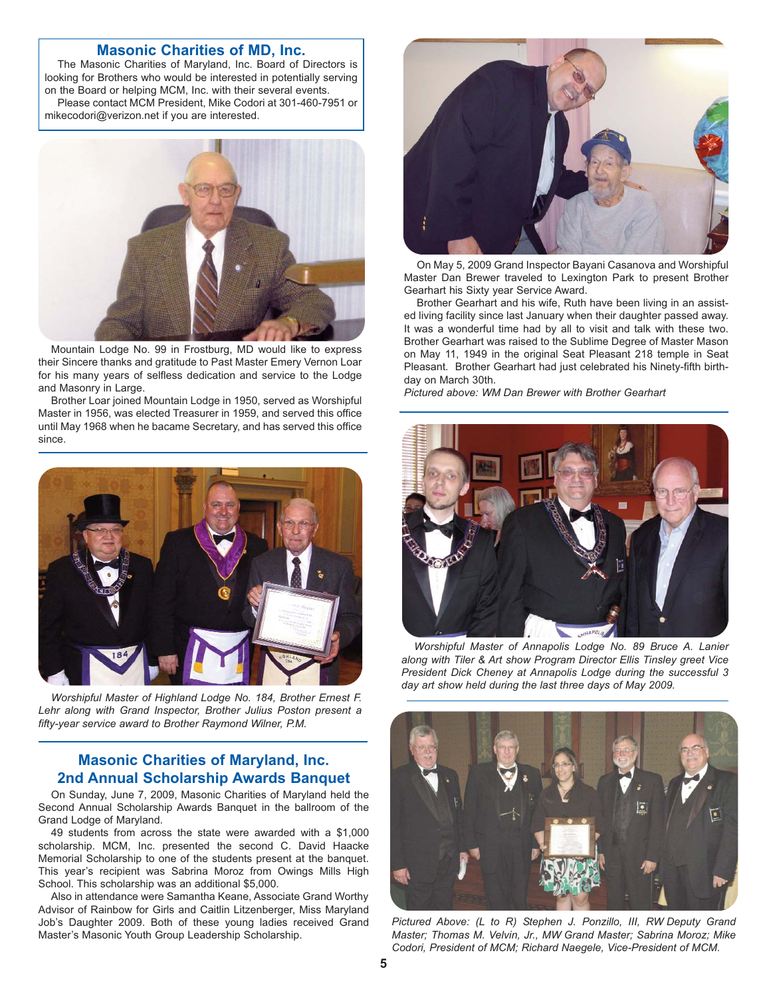#### **Masonic Charities of MD, Inc.**

The Masonic Charities of Maryland, Inc. Board of Directors is looking for Brothers who would be interested in potentially serving on the Board or helping MCM, Inc. with their several events. Please contact MCM President, Mike Codori at 301-460-7951 or mikecodori@verizon.net if you are interested.



Mountain Lodge No. 99 in Frostburg, MD would like to express their Sincere thanks and gratitude to Past Master Emery Vernon Loar for his many years of selfless dedication and service to the Lodge and Masonry in Large.

Brother Loar joined Mountain Lodge in 1950, served as Worshipful Master in 1956, was elected Treasurer in 1959, and served this office until May 1968 when he bacame Secretary, and has served this office since.



*Worshipful Master of Highland Lodge No. 184, Brother Ernest F. Lehr along with Grand Inspector, Brother Julius Poston present a fifty-year service award to Brother Raymond Wilner, P.M.*

# **Masonic Charities of Maryland, Inc. 2nd Annual Scholarship Awards Banquet**

On Sunday, June 7, 2009, Masonic Charities of Maryland held the Second Annual Scholarship Awards Banquet in the ballroom of the Grand Lodge of Maryland.

49 students from across the state were awarded with a \$1,000 scholarship. MCM, Inc. presented the second C. David Haacke Memorial Scholarship to one of the students present at the banquet. This year's recipient was Sabrina Moroz from Owings Mills High School. This scholarship was an additional \$5,000.

Also in attendance were Samantha Keane, Associate Grand Worthy Advisor of Rainbow for Girls and Caitlin Litzenberger, Miss Maryland Job's Daughter 2009. Both of these young ladies received Grand Master's Masonic Youth Group Leadership Scholarship.



On May 5, 2009 Grand Inspector Bayani Casanova and Worshipful Master Dan Brewer traveled to Lexington Park to present Brother Gearhart his Sixty year Service Award.

Brother Gearhart and his wife, Ruth have been living in an assisted living facility since last January when their daughter passed away. It was a wonderful time had by all to visit and talk with these two. Brother Gearhart was raised to the Sublime Degree of Master Mason on May 11, 1949 in the original Seat Pleasant 218 temple in Seat Pleasant. Brother Gearhart had just celebrated his Ninety-fifth birthday on March 30th.

*Pictured above: WM Dan Brewer with Brother Gearhart*



*Worshipful Master of Annapolis Lodge No. 89 Bruce A. Lanier along with Tiler & Art show Program Director Ellis Tinsley greet Vice President Dick Cheney at Annapolis Lodge during the successful 3 day art show held during the last three days of May 2009.*



*Pictured Above: (L to R) Stephen J. Ponzillo, III, RW Deputy Grand Master; Thomas M. Velvin, Jr., MW Grand Master; Sabrina Moroz; Mike Codori, President of MCM; Richard Naegele, Vice-President of MCM.*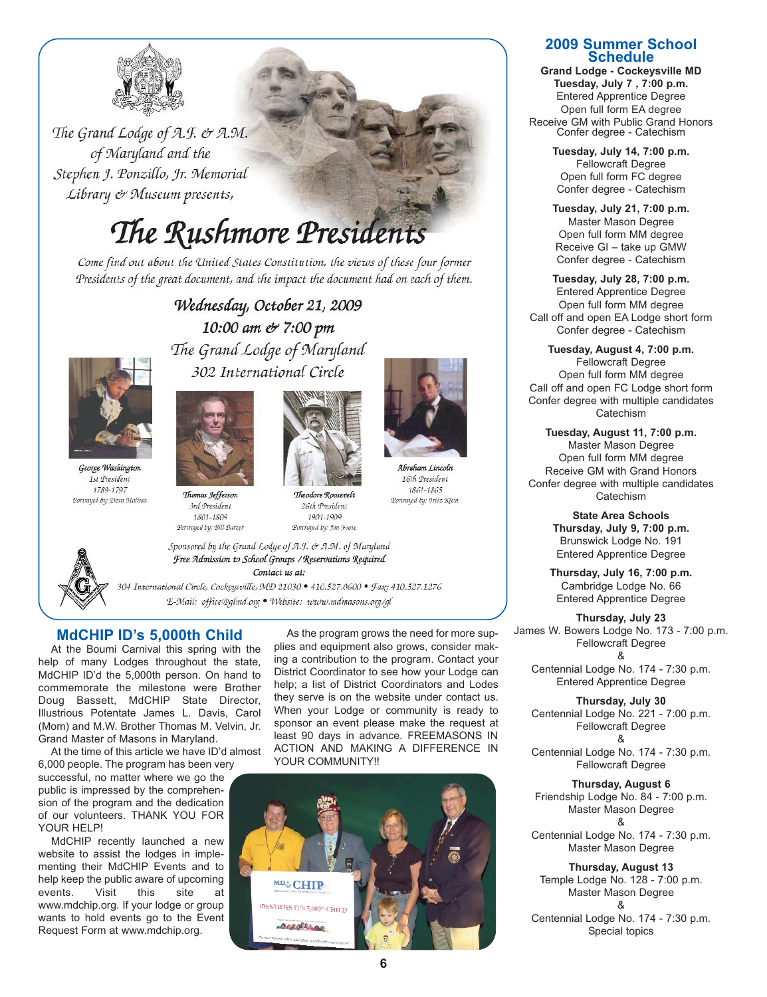

The Grand Lodge of A.F. & A.M. of Maryland and the Stephen J. Ponzillo, Jr. Memorial Library & Museum presents,

# The Rushmore President

Come find out about the United States Constitution, the views of these four former Presidents of the great document, and the impact the document had on each of them.

> Wednesday, October 21, 2009 10:00 am & 7:00 pm The Grand Lodge of Maryland 302 International Circle



1st President

1789-1797

Portrayed by: Dean Malissa

Thomas Jefferson 3rd President 1801-1809 Portraged by: Bill Barker



Theodore Roosevelt 26th President 1901-1909 Portrayed by: Jim Joote



16th President 1861-1865 Portrayed by: I ritz Klein



Free Admission to School Groups / Reservations Required Contact us at: 304 International Circle, Cockeysville, MD 21030 · 410.527.0600 · Fax; 410.527.1276

Sponsored by the Grand Lodge of A.J. & A.M. of Maryland

E-Mail: office@glmd.org · Website: www.mdmasons.org/gl

# **MdCHIP ID's 5,000th Child**

At the Boumi Carnival this spring with the help of many Lodges throughout the state, MdCHIP ID'd the 5,000th person. On hand to commemorate the milestone were Brother Doug Bassett, MdCHIP State Director, Illustrious Potentate James L. Davis, Carol (Mom) and M.W. Brother Thomas M. Velvin, Jr. Grand Master of Masons in Maryland.

At the time of this article we have ID'd almost 6,000 people. The program has been very

successful, no matter where we go the public is impressed by the comprehension of the program and the dedication of our volunteers. THANK YOU FOR YOUR HELP!

MdCHIP recently launched a new website to assist the lodges in implementing their MdCHIP Events and to help keep the public aware of upcoming events. Visit this site at www.mdchip.org. If your lodge or group wants to hold events go to the Event Request Form at www.mdchip.org.

As the program grows the need for more supplies and equipment also grows, consider making a contribution to the program. Contact your District Coordinator to see how your Lodge can help; a list of District Coordinators and Lodes they serve is on the website under contact us. When your Lodge or community is ready to sponsor an event please make the request at least 90 days in advance. FREEMASONS IN ACTION AND MAKING A DIFFERENCE IN YOUR COMMUNITY!!



#### **2009 Summer School Schedule**

**Grand Lodge - Cockeysville MD Tuesday, July 7 , 7:00 p.m.** Entered Apprentice Degree Open full form EA degree Receive GM with Public Grand Honors Confer degree - Catechism

> **Tuesday, July 14, 7:00 p.m.** Fellowcraft Degree Open full form FC degree Confer degree - Catechism

> **Tuesday, July 21, 7:00 p.m.** Master Mason Degree Open full form MM degree Receive GI – take up GMW Confer degree - Catechism

**Tuesday, July 28, 7:00 p.m.** Entered Apprentice Degree Open full form MM degree Call off and open EA Lodge short form Confer degree - Catechism

**Tuesday, August 4, 7:00 p.m.** Fellowcraft Degree Open full form MM degree Call off and open FC Lodge short form Confer degree with multiple candidates **Catechism** 

**Tuesday, August 11, 7:00 p.m.** Master Mason Degree Open full form MM degree Receive GM with Grand Honors Confer degree with multiple candidates **Catechism** 

> **State Area Schools Thursday, July 9, 7:00 p.m.** Brunswick Lodge No. 191 Entered Apprentice Degree

**Thursday, July 16, 7:00 p.m.** Cambridge Lodge No. 66 Entered Apprentice Degree

**Thursday, July 23** James W. Bowers Lodge No. 173 - 7:00 p.m. Fellowcraft Degree &

Centennial Lodge No. 174 - 7:30 p.m. Entered Apprentice Degree

**Thursday, July 30** Centennial Lodge No. 221 - 7:00 p.m. Fellowcraft Degree &

Centennial Lodge No. 174 - 7:30 p.m. Fellowcraft Degree

**Thursday, August 6** Friendship Lodge No. 84 - 7:00 p.m. Master Mason Degree &

Centennial Lodge No. 174 - 7:30 p.m. Master Mason Degree

**Thursday, August 13** Temple Lodge No. 128 - 7:00 p.m. Master Mason Degree &

Centennial Lodge No. 174 - 7:30 p.m. Special topics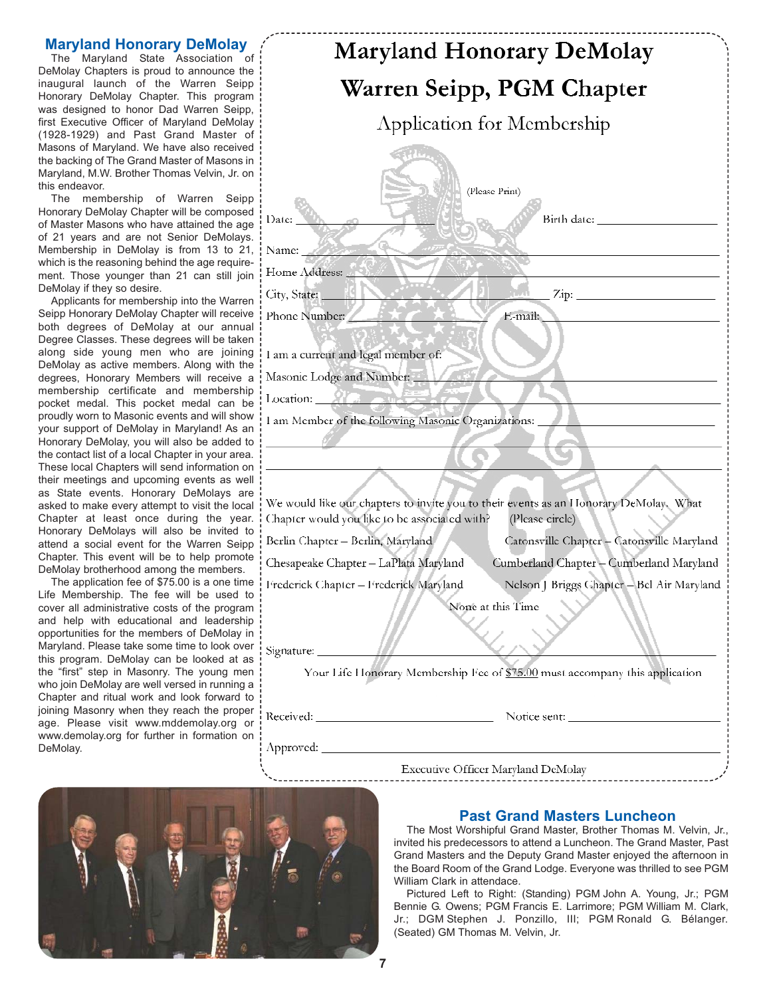#### **Maryland Honorary DeMolay**

The Maryland State Association of DeMolay Chapters is proud to announce the inaugural launch of the Warren Seipp Honorary DeMolay Chapter. This program was designed to honor Dad Warren Seipp, first Executive Officer of Maryland DeMolay (1928-1929) and Past Grand Master of Masons of Maryland. We have also received the backing of The Grand Master of Masons in Maryland, M.W. Brother Thomas Velvin, Jr. on this endeavor.

The membership of Warren Seipp Honorary DeMolay Chapter will be composed of Master Masons who have attained the age of 21 years and are not Senior DeMolays. Membership in DeMolay is from 13 to 21, which is the reasoning behind the age requirement. Those younger than 21 can still join DeMolay if they so desire.

Applicants for membership into the Warren Seipp Honorary DeMolay Chapter will receive | p both degrees of DeMolay at our annual Degree Classes. These degrees will be taken along side young men who are joining DeMolay as active members. Along with the degrees, Honorary Members will receive a membership certificate and membership pocket medal. This pocket medal can be proudly worn to Masonic events and will show your support of DeMolay in Maryland! As an Honorary DeMolay, you will also be added to the contact list of a local Chapter in your area. These local Chapters will send information on their meetings and upcoming events as well as State events. Honorary DeMolays are asked to make every attempt to visit the local Chapter at least once during the year. Honorary DeMolays will also be invited to attend a social event for the Warren Seipp Chapter. This event will be to help promote DeMolay brotherhood among the members.

The application fee of \$75.00 is a one time : Life Membership. The fee will be used to cover all administrative costs of the program and help with educational and leadership opportunities for the members of DeMolay in **Maryland. Please take some time to look over** Si this program. DeMolay can be looked at as the "first" step in Masonry. The young men who join DeMolay are well versed in running a Chapter and ritual work and look forward to joining Masonry when they reach the proper age. Please visit www.mddemolay.org or www.demolay.org for further in formation on DeMolay.

| <b>Maryland Honorary DeMolay</b>                                                                                                                          |                                                  |
|-----------------------------------------------------------------------------------------------------------------------------------------------------------|--------------------------------------------------|
| Warren Seipp, PGM Chapter                                                                                                                                 |                                                  |
| Application for Membership                                                                                                                                |                                                  |
|                                                                                                                                                           |                                                  |
| (Please Print)                                                                                                                                            |                                                  |
| Date:                                                                                                                                                     | Birth date: National Contract of the Birth date: |
| Name:                                                                                                                                                     |                                                  |
| Home Address:                                                                                                                                             |                                                  |
| City, State:                                                                                                                                              | $Zip:$ $\frac{Zip}{2}$                           |
| Phone Number:                                                                                                                                             | E-mail:                                          |
| I am a current and legal member of:                                                                                                                       |                                                  |
| Masonic Lodge and Number:                                                                                                                                 |                                                  |
| Location: $27.7$                                                                                                                                          |                                                  |
| I am Member of the following Masonic Organizations:                                                                                                       |                                                  |
|                                                                                                                                                           |                                                  |
|                                                                                                                                                           |                                                  |
| We would like our chapters to invite you to their events as an Honorary DeMolay. What<br>Chapter would you like to be associated with?<br>(Please circle) |                                                  |
| Berlin Chapter - Berlin, Maryland                                                                                                                         | Catonsville Chapter - Catonsville Maryland       |
| Chesapeake Chapter – LaPlata Maryland                                                                                                                     | Cumberland Chapter - Cumberland Maryland         |
| Frederick Chapter - Frederick Maryland                                                                                                                    | Nelson J Briggs Chapter - Bel Air Maryland       |
| None at this Time                                                                                                                                         |                                                  |
| Signature: ________<br>Your Life Honorary Membership Fee of \$75.00 must accompany this application                                                       |                                                  |
|                                                                                                                                                           |                                                  |
|                                                                                                                                                           |                                                  |

Executive Officer Maryland DeMolay



## **Past Grand Masters Luncheon**

The Most Worshipful Grand Master, Brother Thomas M. Velvin, Jr., invited his predecessors to attend a Luncheon. The Grand Master, Past Grand Masters and the Deputy Grand Master enjoyed the afternoon in the Board Room of the Grand Lodge. Everyone was thrilled to see PGM William Clark in attendace.

Pictured Left to Right: (Standing) PGM John A. Young, Jr.; PGM Bennie G. Owens; PGM Francis E. Larrimore; PGM William M. Clark, Jr.; DGM Stephen J. Ponzillo, III; PGM Ronald G. Bélanger. (Seated) GM Thomas M. Velvin, Jr.